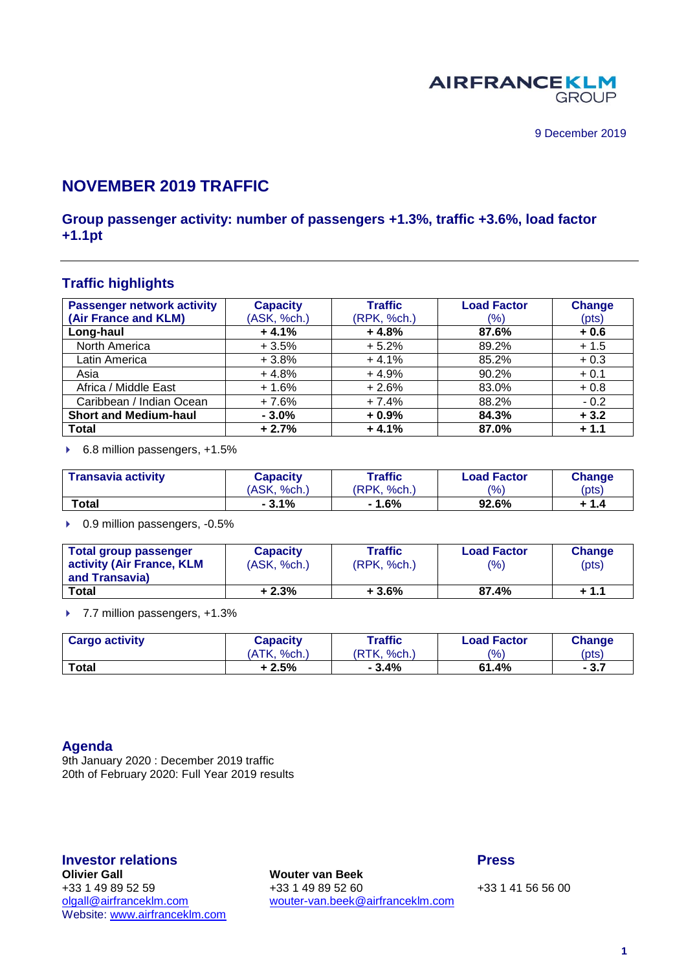

# **NOVEMBER 2019 TRAFFIC**

## **Group passenger activity: number of passengers +1.3%, traffic +3.6%, load factor +1.1pt**

## **Traffic highlights**

| <b>Passenger network activity</b> | <b>Capacity</b> | <b>Traffic</b> | <b>Load Factor</b> | <b>Change</b> |
|-----------------------------------|-----------------|----------------|--------------------|---------------|
| (Air France and KLM)              | (ASK, %ch.)     | (RPK, %ch.)    | (%)                | (pts)         |
| Long-haul                         | $+4.1%$         | $+4.8%$        | 87.6%              | $+0.6$        |
| North America                     | $+3.5%$         | $+5.2%$        | 89.2%              | $+1.5$        |
| Latin America                     | $+3.8%$         | $+4.1%$        | 85.2%              | $+0.3$        |
| Asia                              | $+4.8%$         | $+4.9%$        | 90.2%              | $+0.1$        |
| Africa / Middle East              | $+1.6%$         | $+2.6%$        | 83.0%              | $+0.8$        |
| Caribbean / Indian Ocean          | $+7.6%$         | $+7.4%$        | 88.2%              | $-0.2$        |
| <b>Short and Medium-haul</b>      | $-3.0%$         | $+0.9%$        | 84.3%              | $+3.2$        |
| <b>Total</b>                      | $+2.7%$         | $+4.1%$        | 87.0%              | $+1.1$        |

▶ 6.8 million passengers, +1.5%

| <b>Transavia activity</b> | <b>Capacity</b> | Traffic           | <b>Load Factor</b> | Change |
|---------------------------|-----------------|-------------------|--------------------|--------|
|                           | (ASK, %ch.)     | 'RPK.<br>$%$ ch., | $\frac{10}{6}$     | (pts)  |
| Total                     | $-3.1%$         | $-1.6%$           | 92.6%              | + 1.4  |

▶ 0.9 million passengers, -0.5%

| Total group passenger<br>activity (Air France, KLM<br>and Transavia) | <b>Capacity</b><br>(ASK, %ch.) | Traffic<br>(RPK, %ch.) | <b>Load Factor</b><br>(%) | Change<br>(pts) |
|----------------------------------------------------------------------|--------------------------------|------------------------|---------------------------|-----------------|
| Total                                                                | $+2.3%$                        | $+3.6%$                | 87.4%                     | $+1.1$          |

▶ 7.7 million passengers, +1.3%

| <b>Cargo activity</b> | Capacity    | Traffic           | <b>Load Factor</b> | <b>Change</b> |
|-----------------------|-------------|-------------------|--------------------|---------------|
|                       | (ATK. %ch.) | 'RTK.<br>$%$ ch., | $\frac{10}{6}$     | (pts)         |
| <b>Total</b>          | + 2.5%      | $-3.4%$           | 61.4%              | $-3.7$        |

#### **Agenda**

9th January 2020 : December 2019 traffic 20th of February 2020: Full Year 2019 results

Website: [www.airfranceklm.com](http://www.airfranceklm.com/)

**Investor relations Press Wouter van Beek** +33 1 49 89 52 59 +33 1 49 89 52 60 +33 1 49 89 52 60 +33 1 41 56 56 00<br>
olgall@airfranceklm.com wouter-van.beek@airfranceklm.com [wouter-van.beek@airfranceklm.com](mailto:wouter-van.beek@airfranceklm.com)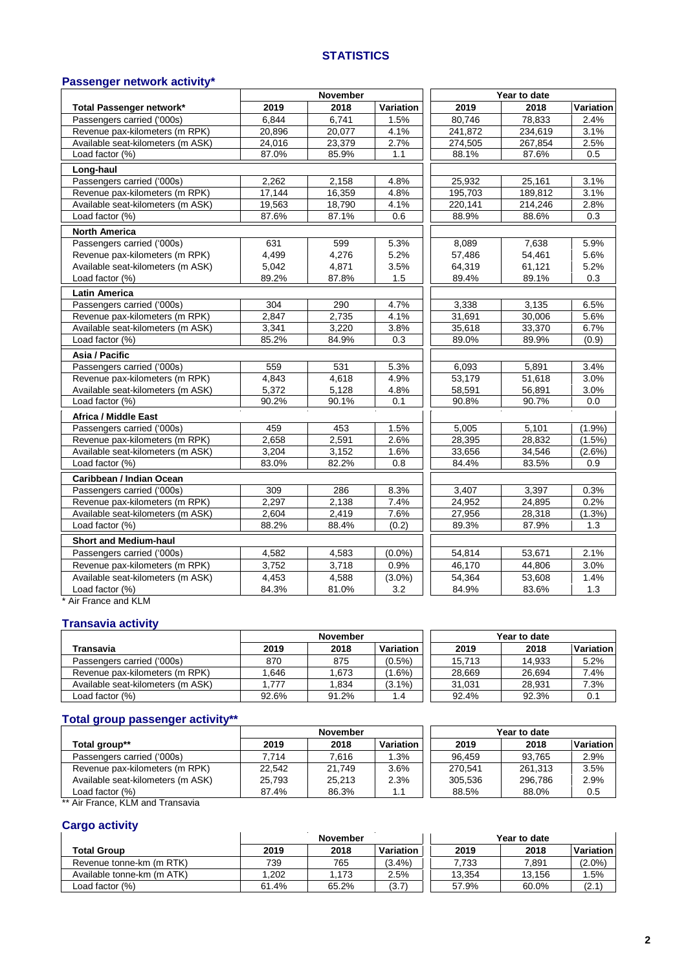#### **STATISTICS**

## **Passenger network activity\***

|                                   |        | <b>November</b> |           |         | Year to date |           |
|-----------------------------------|--------|-----------------|-----------|---------|--------------|-----------|
| Total Passenger network*          | 2019   | 2018            | Variation | 2019    | 2018         | Variation |
| Passengers carried ('000s)        | 6.844  | 6,741           | 1.5%      | 80,746  | 78,833       | 2.4%      |
| Revenue pax-kilometers (m RPK)    | 20,896 | 20,077          | 4.1%      | 241,872 | 234,619      | 3.1%      |
| Available seat-kilometers (m ASK) | 24,016 | 23,379          | 2.7%      | 274,505 | 267,854      | 2.5%      |
| Load factor (%)                   | 87.0%  | 85.9%           | 1.1       | 88.1%   | 87.6%        | 0.5       |
| Long-haul                         |        |                 |           |         |              |           |
| Passengers carried ('000s)        | 2,262  | 2,158           | 4.8%      | 25,932  | 25,161       | 3.1%      |
| Revenue pax-kilometers (m RPK)    | 17,144 | 16,359          | 4.8%      | 195,703 | 189,812      | 3.1%      |
| Available seat-kilometers (m ASK) | 19,563 | 18,790          | 4.1%      | 220,141 | 214,246      | 2.8%      |
| Load factor (%)                   | 87.6%  | 87.1%           | 0.6       | 88.9%   | 88.6%        | 0.3       |
| <b>North America</b>              |        |                 |           |         |              |           |
| Passengers carried ('000s)        | 631    | 599             | 5.3%      | 8,089   | 7,638        | 5.9%      |
| Revenue pax-kilometers (m RPK)    | 4,499  | 4,276           | 5.2%      | 57,486  | 54,461       | 5.6%      |
| Available seat-kilometers (m ASK) | 5,042  | 4,871           | 3.5%      | 64,319  | 61,121       | 5.2%      |
| Load factor (%)                   | 89.2%  | 87.8%           | 1.5       | 89.4%   | 89.1%        | 0.3       |
| <b>Latin America</b>              |        |                 |           |         |              |           |
| Passengers carried ('000s)        | 304    | 290             | 4.7%      | 3,338   | 3,135        | 6.5%      |
| Revenue pax-kilometers (m RPK)    | 2,847  | 2.735           | 4.1%      | 31,691  | 30,006       | 5.6%      |
| Available seat-kilometers (m ASK) | 3,341  | 3,220           | 3.8%      | 35,618  | 33,370       | 6.7%      |
| Load factor (%)                   | 85.2%  | 84.9%           | 0.3       | 89.0%   | 89.9%        | (0.9)     |
| Asia / Pacific                    |        |                 |           |         |              |           |
| Passengers carried ('000s)        | 559    | 531             | 5.3%      | 6,093   | 5,891        | 3.4%      |
| Revenue pax-kilometers (m RPK)    | 4.843  | 4,618           | 4.9%      | 53,179  | 51,618       | 3.0%      |
| Available seat-kilometers (m ASK) | 5,372  | 5,128           | 4.8%      | 58,591  | 56,891       | 3.0%      |
| Load factor (%)                   | 90.2%  | 90.1%           | 0.1       | 90.8%   | 90.7%        | 0.0       |
| Africa / Middle East              |        |                 |           |         |              |           |
| Passengers carried ('000s)        | 459    | 453             | 1.5%      | 5,005   | 5,101        | (1.9%     |
| Revenue pax-kilometers (m RPK)    | 2,658  | 2,591           | 2.6%      | 28,395  | 28,832       | $(1.5\%)$ |
| Available seat-kilometers (m ASK) | 3,204  | 3,152           | 1.6%      | 33,656  | 34,546       | $(2.6\%)$ |
| Load factor (%)                   | 83.0%  | 82.2%           | 0.8       | 84.4%   | 83.5%        | 0.9       |
| Caribbean / Indian Ocean          |        |                 |           |         |              |           |
| Passengers carried ('000s)        | 309    | 286             | 8.3%      | 3,407   | 3,397        | 0.3%      |
| Revenue pax-kilometers (m RPK)    | 2.297  | 2,138           | 7.4%      | 24,952  | 24,895       | 0.2%      |
| Available seat-kilometers (m ASK) | 2,604  | 2,419           | 7.6%      | 27,956  | 28,318       | (1.3%)    |
| Load factor (%)                   | 88.2%  | 88.4%           | (0.2)     | 89.3%   | 87.9%        | 1.3       |
| <b>Short and Medium-haul</b>      |        |                 |           |         |              |           |
| Passengers carried ('000s)        | 4,582  | 4,583           | $(0.0\%)$ | 54,814  | 53,671       | 2.1%      |
| Revenue pax-kilometers (m RPK)    | 3,752  | 3,718           | 0.9%      | 46,170  | 44,806       | 3.0%      |
| Available seat-kilometers (m ASK) | 4,453  | 4,588           | $(3.0\%)$ | 54,364  | 53,608       | 1.4%      |
| Load factor (%)                   | 84.3%  | 81.0%           | 3.2       | 84.9%   | 83.6%        | 1.3       |

\* Air France and KLM

#### **Transavia activity**

|                                   | <b>November</b> |       |           |        | Year to date |           |
|-----------------------------------|-----------------|-------|-----------|--------|--------------|-----------|
| Transavia                         | 2019            | 2018  | Variation | 2019   | 2018         | Variation |
| Passengers carried ('000s)        | 870             | 875   | $(0.5\%)$ | 15.713 | 14.933       | 5.2%      |
| Revenue pax-kilometers (m RPK)    | 1.646           | .673  | .6%       | 28.669 | 26.694       | 7.4%      |
| Available seat-kilometers (m ASK) | .777            | .834  | $(3.1\%)$ | 31.031 | 28.931       | 7.3%      |
| Load factor (%)                   | 92.6%           | 91.2% | 1.4       | 92.4%  | 92.3%        | 0.1       |

## **Total group passenger activity\*\***

|                                   | <b>November</b> |        |           |         | Year to date |           |
|-----------------------------------|-----------------|--------|-----------|---------|--------------|-----------|
| Total group**                     | 2019            | 2018   | Variation | 2019    | 2018         | Variation |
| Passengers carried ('000s)        | 7.714           | 7.616  | .3%       | 96.459  | 93.765       | 2.9%      |
| Revenue pax-kilometers (m RPK)    | 22.542          | 21,749 | 3.6%      | 270.541 | 261.313      | 3.5%      |
| Available seat-kilometers (m ASK) | 25.793          | 25.213 | 2.3%      | 305.536 | 296.786      | 2.9%      |
| Load factor (%)                   | 87.4%           | 86.3%  | 1.1       | 88.5%   | 88.0%        | 0.5       |

\*\* Air France, KLM and Transavia

#### **Cargo activity**

|                            | <b>November</b> |       |           |        | Year to date |           |
|----------------------------|-----------------|-------|-----------|--------|--------------|-----------|
| <b>Total Group</b>         | 2019            | 2018  | Variation | 2019   | 2018         | Variation |
| Revenue tonne-km (m RTK)   | 739             | 765   | $(3.4\%)$ | 7.733  | 7,891        | $(2.0\%)$ |
| Available tonne-km (m ATK) | .202            | .173  | 2.5%      | 13.354 | 13.156       | .5%       |
| Load factor (%)            | 61.4%           | 65.2% | (3.7)     | 57.9%  | 60.0%        | (2.1`     |